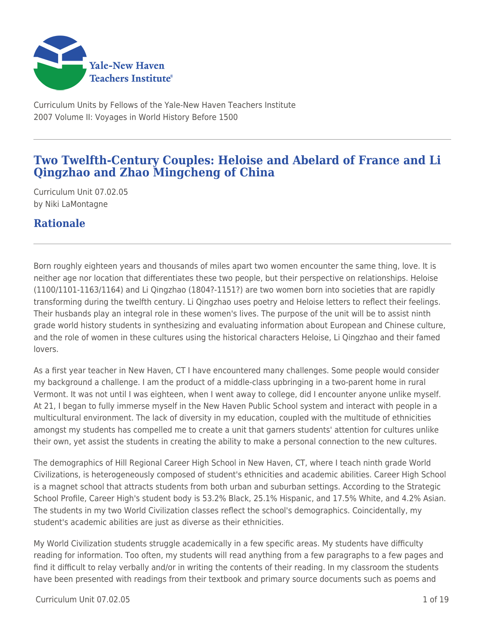

Curriculum Units by Fellows of the Yale-New Haven Teachers Institute 2007 Volume II: Voyages in World History Before 1500

# **Two Twelfth-Century Couples: Heloise and Abelard of France and Li Qingzhao and Zhao Mingcheng of China**

Curriculum Unit 07.02.05 by Niki LaMontagne

# **Rationale**

Born roughly eighteen years and thousands of miles apart two women encounter the same thing, love. It is neither age nor location that differentiates these two people, but their perspective on relationships. Heloise (1100/1101-1163/1164) and Li Qingzhao (1804?-1151?) are two women born into societies that are rapidly transforming during the twelfth century. Li Qingzhao uses poetry and Heloise letters to reflect their feelings. Their husbands play an integral role in these women's lives. The purpose of the unit will be to assist ninth grade world history students in synthesizing and evaluating information about European and Chinese culture, and the role of women in these cultures using the historical characters Heloise, Li Qingzhao and their famed lovers.

As a first year teacher in New Haven, CT I have encountered many challenges. Some people would consider my background a challenge. I am the product of a middle-class upbringing in a two-parent home in rural Vermont. It was not until I was eighteen, when I went away to college, did I encounter anyone unlike myself. At 21, I began to fully immerse myself in the New Haven Public School system and interact with people in a multicultural environment. The lack of diversity in my education, coupled with the multitude of ethnicities amongst my students has compelled me to create a unit that garners students' attention for cultures unlike their own, yet assist the students in creating the ability to make a personal connection to the new cultures.

The demographics of Hill Regional Career High School in New Haven, CT, where I teach ninth grade World Civilizations, is heterogeneously composed of student's ethnicities and academic abilities. Career High School is a magnet school that attracts students from both urban and suburban settings. According to the Strategic School Profile, Career High's student body is 53.2% Black, 25.1% Hispanic, and 17.5% White, and 4.2% Asian. The students in my two World Civilization classes reflect the school's demographics. Coincidentally, my student's academic abilities are just as diverse as their ethnicities.

My World Civilization students struggle academically in a few specific areas. My students have difficulty reading for information. Too often, my students will read anything from a few paragraphs to a few pages and find it difficult to relay verbally and/or in writing the contents of their reading. In my classroom the students have been presented with readings from their textbook and primary source documents such as poems and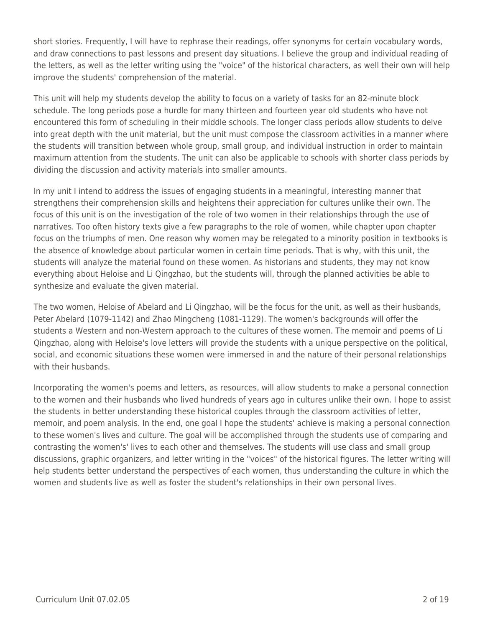short stories. Frequently, I will have to rephrase their readings, offer synonyms for certain vocabulary words, and draw connections to past lessons and present day situations. I believe the group and individual reading of the letters, as well as the letter writing using the "voice" of the historical characters, as well their own will help improve the students' comprehension of the material.

This unit will help my students develop the ability to focus on a variety of tasks for an 82-minute block schedule. The long periods pose a hurdle for many thirteen and fourteen year old students who have not encountered this form of scheduling in their middle schools. The longer class periods allow students to delve into great depth with the unit material, but the unit must compose the classroom activities in a manner where the students will transition between whole group, small group, and individual instruction in order to maintain maximum attention from the students. The unit can also be applicable to schools with shorter class periods by dividing the discussion and activity materials into smaller amounts.

In my unit I intend to address the issues of engaging students in a meaningful, interesting manner that strengthens their comprehension skills and heightens their appreciation for cultures unlike their own. The focus of this unit is on the investigation of the role of two women in their relationships through the use of narratives. Too often history texts give a few paragraphs to the role of women, while chapter upon chapter focus on the triumphs of men. One reason why women may be relegated to a minority position in textbooks is the absence of knowledge about particular women in certain time periods. That is why, with this unit, the students will analyze the material found on these women. As historians and students, they may not know everything about Heloise and Li Qingzhao, but the students will, through the planned activities be able to synthesize and evaluate the given material.

The two women, Heloise of Abelard and Li Qingzhao, will be the focus for the unit, as well as their husbands, Peter Abelard (1079-1142) and Zhao Mingcheng (1081-1129). The women's backgrounds will offer the students a Western and non-Western approach to the cultures of these women. The memoir and poems of Li Qingzhao, along with Heloise's love letters will provide the students with a unique perspective on the political, social, and economic situations these women were immersed in and the nature of their personal relationships with their husbands.

Incorporating the women's poems and letters, as resources, will allow students to make a personal connection to the women and their husbands who lived hundreds of years ago in cultures unlike their own. I hope to assist the students in better understanding these historical couples through the classroom activities of letter, memoir, and poem analysis. In the end, one goal I hope the students' achieve is making a personal connection to these women's lives and culture. The goal will be accomplished through the students use of comparing and contrasting the women's' lives to each other and themselves. The students will use class and small group discussions, graphic organizers, and letter writing in the "voices" of the historical figures. The letter writing will help students better understand the perspectives of each women, thus understanding the culture in which the women and students live as well as foster the student's relationships in their own personal lives.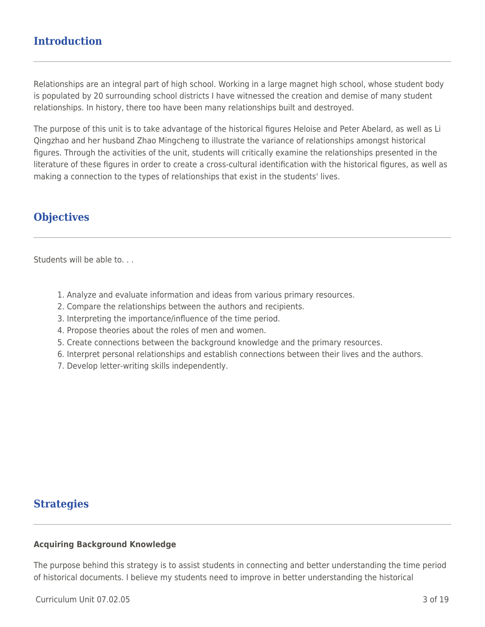# **Introduction**

Relationships are an integral part of high school. Working in a large magnet high school, whose student body is populated by 20 surrounding school districts I have witnessed the creation and demise of many student relationships. In history, there too have been many relationships built and destroyed.

The purpose of this unit is to take advantage of the historical figures Heloise and Peter Abelard, as well as Li Qingzhao and her husband Zhao Mingcheng to illustrate the variance of relationships amongst historical figures. Through the activities of the unit, students will critically examine the relationships presented in the literature of these figures in order to create a cross-cultural identification with the historical figures, as well as making a connection to the types of relationships that exist in the students' lives.

## **Objectives**

Students will be able to. . .

- 1. Analyze and evaluate information and ideas from various primary resources.
- 2. Compare the relationships between the authors and recipients.
- 3. Interpreting the importance/influence of the time period.
- 4. Propose theories about the roles of men and women.
- 5. Create connections between the background knowledge and the primary resources.
- 6. Interpret personal relationships and establish connections between their lives and the authors.
- 7. Develop letter-writing skills independently.

## **Strategies**

#### **Acquiring Background Knowledge**

The purpose behind this strategy is to assist students in connecting and better understanding the time period of historical documents. I believe my students need to improve in better understanding the historical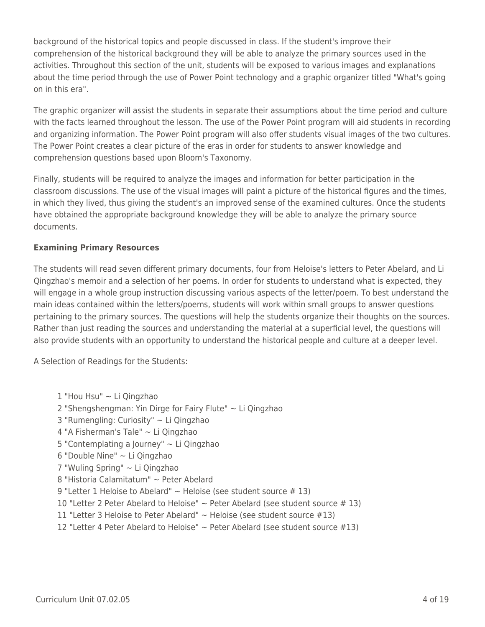background of the historical topics and people discussed in class. If the student's improve their comprehension of the historical background they will be able to analyze the primary sources used in the activities. Throughout this section of the unit, students will be exposed to various images and explanations about the time period through the use of Power Point technology and a graphic organizer titled "What's going on in this era".

The graphic organizer will assist the students in separate their assumptions about the time period and culture with the facts learned throughout the lesson. The use of the Power Point program will aid students in recording and organizing information. The Power Point program will also offer students visual images of the two cultures. The Power Point creates a clear picture of the eras in order for students to answer knowledge and comprehension questions based upon Bloom's Taxonomy.

Finally, students will be required to analyze the images and information for better participation in the classroom discussions. The use of the visual images will paint a picture of the historical figures and the times, in which they lived, thus giving the student's an improved sense of the examined cultures. Once the students have obtained the appropriate background knowledge they will be able to analyze the primary source documents.

## **Examining Primary Resources**

The students will read seven different primary documents, four from Heloise's letters to Peter Abelard, and Li Qingzhao's memoir and a selection of her poems. In order for students to understand what is expected, they will engage in a whole group instruction discussing various aspects of the letter/poem. To best understand the main ideas contained within the letters/poems, students will work within small groups to answer questions pertaining to the primary sources. The questions will help the students organize their thoughts on the sources. Rather than just reading the sources and understanding the material at a superficial level, the questions will also provide students with an opportunity to understand the historical people and culture at a deeper level.

A Selection of Readings for the Students:

1 "Hou Hsu" ~ Li Qingzhao 2 "Shengshengman: Yin Dirge for Fairy Flute" ~ Li Qingzhao 3 "Rumengling: Curiosity" ~ Li Qingzhao 4 "A Fisherman's Tale" ~ Li Qingzhao 5 "Contemplating a Journey" ~ Li Qingzhao 6 "Double Nine" ~ Li Qingzhao 7 "Wuling Spring" ~ Li Qingzhao 8 "Historia Calamitatum" ~ Peter Abelard 9 "Letter 1 Heloise to Abelard"  $\sim$  Heloise (see student source # 13) 10 "Letter 2 Peter Abelard to Heloise"  $\sim$  Peter Abelard (see student source #13) 11 "Letter 3 Heloise to Peter Abelard"  $\sim$  Heloise (see student source #13) 12 "Letter 4 Peter Abelard to Heloise" ~ Peter Abelard (see student source #13)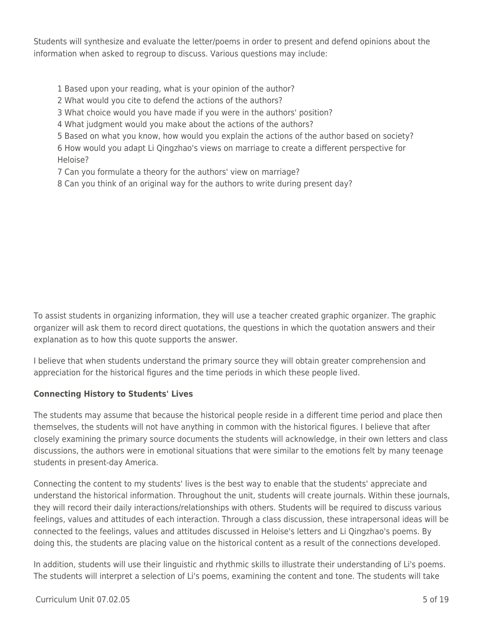Students will synthesize and evaluate the letter/poems in order to present and defend opinions about the information when asked to regroup to discuss. Various questions may include:

- 1 Based upon your reading, what is your opinion of the author?
- 2 What would you cite to defend the actions of the authors?
- 3 What choice would you have made if you were in the authors' position?
- 4 What judgment would you make about the actions of the authors?
- 5 Based on what you know, how would you explain the actions of the author based on society?
- 6 How would you adapt Li Qingzhao's views on marriage to create a different perspective for Heloise?
- 7 Can you formulate a theory for the authors' view on marriage?
- 8 Can you think of an original way for the authors to write during present day?

To assist students in organizing information, they will use a teacher created graphic organizer. The graphic organizer will ask them to record direct quotations, the questions in which the quotation answers and their explanation as to how this quote supports the answer.

I believe that when students understand the primary source they will obtain greater comprehension and appreciation for the historical figures and the time periods in which these people lived.

## **Connecting History to Students' Lives**

The students may assume that because the historical people reside in a different time period and place then themselves, the students will not have anything in common with the historical figures. I believe that after closely examining the primary source documents the students will acknowledge, in their own letters and class discussions, the authors were in emotional situations that were similar to the emotions felt by many teenage students in present-day America.

Connecting the content to my students' lives is the best way to enable that the students' appreciate and understand the historical information. Throughout the unit, students will create journals. Within these journals, they will record their daily interactions/relationships with others. Students will be required to discuss various feelings, values and attitudes of each interaction. Through a class discussion, these intrapersonal ideas will be connected to the feelings, values and attitudes discussed in Heloise's letters and Li Qingzhao's poems. By doing this, the students are placing value on the historical content as a result of the connections developed.

In addition, students will use their linguistic and rhythmic skills to illustrate their understanding of Li's poems. The students will interpret a selection of Li's poems, examining the content and tone. The students will take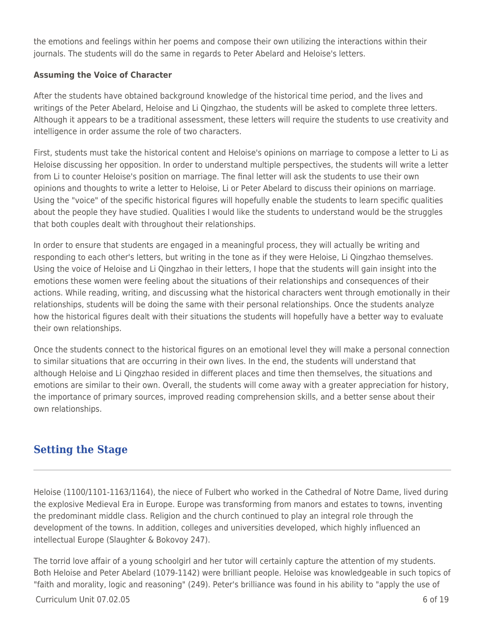the emotions and feelings within her poems and compose their own utilizing the interactions within their journals. The students will do the same in regards to Peter Abelard and Heloise's letters.

## **Assuming the Voice of Character**

After the students have obtained background knowledge of the historical time period, and the lives and writings of the Peter Abelard, Heloise and Li Qingzhao, the students will be asked to complete three letters. Although it appears to be a traditional assessment, these letters will require the students to use creativity and intelligence in order assume the role of two characters.

First, students must take the historical content and Heloise's opinions on marriage to compose a letter to Li as Heloise discussing her opposition. In order to understand multiple perspectives, the students will write a letter from Li to counter Heloise's position on marriage. The final letter will ask the students to use their own opinions and thoughts to write a letter to Heloise, Li or Peter Abelard to discuss their opinions on marriage. Using the "voice" of the specific historical figures will hopefully enable the students to learn specific qualities about the people they have studied. Qualities I would like the students to understand would be the struggles that both couples dealt with throughout their relationships.

In order to ensure that students are engaged in a meaningful process, they will actually be writing and responding to each other's letters, but writing in the tone as if they were Heloise, Li Qingzhao themselves. Using the voice of Heloise and Li Qingzhao in their letters, I hope that the students will gain insight into the emotions these women were feeling about the situations of their relationships and consequences of their actions. While reading, writing, and discussing what the historical characters went through emotionally in their relationships, students will be doing the same with their personal relationships. Once the students analyze how the historical figures dealt with their situations the students will hopefully have a better way to evaluate their own relationships.

Once the students connect to the historical figures on an emotional level they will make a personal connection to similar situations that are occurring in their own lives. In the end, the students will understand that although Heloise and Li Qingzhao resided in different places and time then themselves, the situations and emotions are similar to their own. Overall, the students will come away with a greater appreciation for history, the importance of primary sources, improved reading comprehension skills, and a better sense about their own relationships.

# **Setting the Stage**

Heloise (1100/1101-1163/1164), the niece of Fulbert who worked in the Cathedral of Notre Dame, lived during the explosive Medieval Era in Europe. Europe was transforming from manors and estates to towns, inventing the predominant middle class. Religion and the church continued to play an integral role through the development of the towns. In addition, colleges and universities developed, which highly influenced an intellectual Europe (Slaughter & Bokovoy 247).

The torrid love affair of a young schoolgirl and her tutor will certainly capture the attention of my students. Both Heloise and Peter Abelard (1079-1142) were brilliant people. Heloise was knowledgeable in such topics of "faith and morality, logic and reasoning" (249). Peter's brilliance was found in his ability to "apply the use of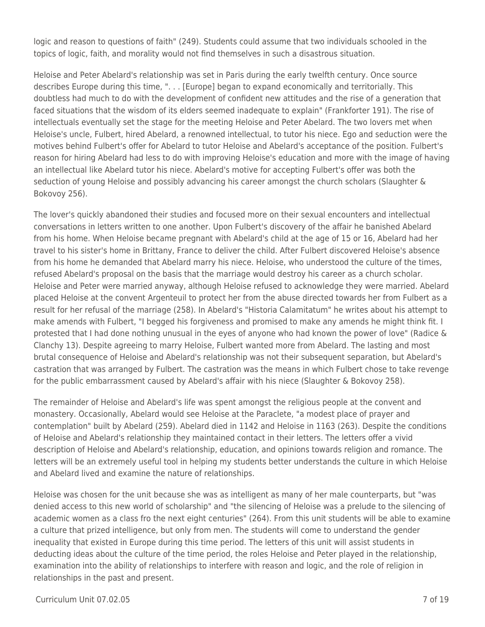logic and reason to questions of faith" (249). Students could assume that two individuals schooled in the topics of logic, faith, and morality would not find themselves in such a disastrous situation.

Heloise and Peter Abelard's relationship was set in Paris during the early twelfth century. Once source describes Europe during this time, ". . . [Europe] began to expand economically and territorially. This doubtless had much to do with the development of confident new attitudes and the rise of a generation that faced situations that the wisdom of its elders seemed inadequate to explain" (Frankforter 191). The rise of intellectuals eventually set the stage for the meeting Heloise and Peter Abelard. The two lovers met when Heloise's uncle, Fulbert, hired Abelard, a renowned intellectual, to tutor his niece. Ego and seduction were the motives behind Fulbert's offer for Abelard to tutor Heloise and Abelard's acceptance of the position. Fulbert's reason for hiring Abelard had less to do with improving Heloise's education and more with the image of having an intellectual like Abelard tutor his niece. Abelard's motive for accepting Fulbert's offer was both the seduction of young Heloise and possibly advancing his career amongst the church scholars (Slaughter & Bokovoy 256).

The lover's quickly abandoned their studies and focused more on their sexual encounters and intellectual conversations in letters written to one another. Upon Fulbert's discovery of the affair he banished Abelard from his home. When Heloise became pregnant with Abelard's child at the age of 15 or 16, Abelard had her travel to his sister's home in Brittany, France to deliver the child. After Fulbert discovered Heloise's absence from his home he demanded that Abelard marry his niece. Heloise, who understood the culture of the times, refused Abelard's proposal on the basis that the marriage would destroy his career as a church scholar. Heloise and Peter were married anyway, although Heloise refused to acknowledge they were married. Abelard placed Heloise at the convent Argenteuil to protect her from the abuse directed towards her from Fulbert as a result for her refusal of the marriage (258). In Abelard's "Historia Calamitatum" he writes about his attempt to make amends with Fulbert, "I begged his forgiveness and promised to make any amends he might think fit. I protested that I had done nothing unusual in the eyes of anyone who had known the power of love" (Radice & Clanchy 13). Despite agreeing to marry Heloise, Fulbert wanted more from Abelard. The lasting and most brutal consequence of Heloise and Abelard's relationship was not their subsequent separation, but Abelard's castration that was arranged by Fulbert. The castration was the means in which Fulbert chose to take revenge for the public embarrassment caused by Abelard's affair with his niece (Slaughter & Bokovoy 258).

The remainder of Heloise and Abelard's life was spent amongst the religious people at the convent and monastery. Occasionally, Abelard would see Heloise at the Paraclete, "a modest place of prayer and contemplation" built by Abelard (259). Abelard died in 1142 and Heloise in 1163 (263). Despite the conditions of Heloise and Abelard's relationship they maintained contact in their letters. The letters offer a vivid description of Heloise and Abelard's relationship, education, and opinions towards religion and romance. The letters will be an extremely useful tool in helping my students better understands the culture in which Heloise and Abelard lived and examine the nature of relationships.

Heloise was chosen for the unit because she was as intelligent as many of her male counterparts, but "was denied access to this new world of scholarship" and "the silencing of Heloise was a prelude to the silencing of academic women as a class fro the next eight centuries" (264). From this unit students will be able to examine a culture that prized intelligence, but only from men. The students will come to understand the gender inequality that existed in Europe during this time period. The letters of this unit will assist students in deducting ideas about the culture of the time period, the roles Heloise and Peter played in the relationship, examination into the ability of relationships to interfere with reason and logic, and the role of religion in relationships in the past and present.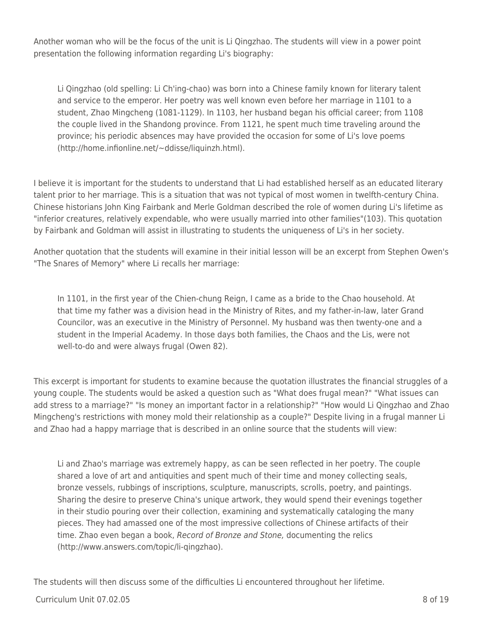Another woman who will be the focus of the unit is Li Qingzhao. The students will view in a power point presentation the following information regarding Li's biography:

Li Qingzhao (old spelling: Li Ch'ing-chao) was born into a Chinese family known for literary talent and service to the emperor. Her poetry was well known even before her marriage in 1101 to a student, Zhao Mingcheng (1081-1129). In 1103, her husband began his official career; from 1108 the couple lived in the Shandong province. From 1121, he spent much time traveling around the province; his periodic absences may have provided the occasion for some of Li's love poems (http://home.infionline.net/~ddisse/liquinzh.html).

I believe it is important for the students to understand that Li had established herself as an educated literary talent prior to her marriage. This is a situation that was not typical of most women in twelfth-century China. Chinese historians John King Fairbank and Merle Goldman described the role of women during Li's lifetime as "inferior creatures, relatively expendable, who were usually married into other families"(103). This quotation by Fairbank and Goldman will assist in illustrating to students the uniqueness of Li's in her society.

Another quotation that the students will examine in their initial lesson will be an excerpt from Stephen Owen's "The Snares of Memory" where Li recalls her marriage:

In 1101, in the first year of the Chien-chung Reign, I came as a bride to the Chao household. At that time my father was a division head in the Ministry of Rites, and my father-in-law, later Grand Councilor, was an executive in the Ministry of Personnel. My husband was then twenty-one and a student in the Imperial Academy. In those days both families, the Chaos and the Lis, were not well-to-do and were always frugal (Owen 82).

This excerpt is important for students to examine because the quotation illustrates the financial struggles of a young couple. The students would be asked a question such as "What does frugal mean?" "What issues can add stress to a marriage?" "Is money an important factor in a relationship?" "How would Li Qingzhao and Zhao Mingcheng's restrictions with money mold their relationship as a couple?" Despite living in a frugal manner Li and Zhao had a happy marriage that is described in an online source that the students will view:

Li and Zhao's marriage was extremely happy, as can be seen reflected in her poetry. The couple shared a love of art and antiquities and spent much of their time and money collecting seals, bronze vessels, rubbings of inscriptions, sculpture, manuscripts, scrolls, poetry, and paintings. Sharing the desire to preserve China's unique artwork, they would spend their evenings together in their studio pouring over their collection, examining and systematically cataloging the many pieces. They had amassed one of the most impressive collections of Chinese artifacts of their time. Zhao even began a book, Record of Bronze and Stone, documenting the relics (http://www.answers.com/topic/li-qingzhao).

The students will then discuss some of the difficulties Li encountered throughout her lifetime.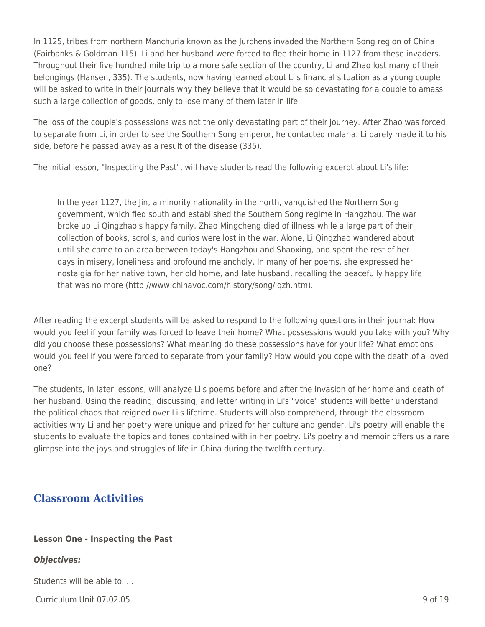In 1125, tribes from northern Manchuria known as the Jurchens invaded the Northern Song region of China (Fairbanks & Goldman 115). Li and her husband were forced to flee their home in 1127 from these invaders. Throughout their five hundred mile trip to a more safe section of the country, Li and Zhao lost many of their belongings (Hansen, 335). The students, now having learned about Li's financial situation as a young couple will be asked to write in their journals why they believe that it would be so devastating for a couple to amass such a large collection of goods, only to lose many of them later in life.

The loss of the couple's possessions was not the only devastating part of their journey. After Zhao was forced to separate from Li, in order to see the Southern Song emperor, he contacted malaria. Li barely made it to his side, before he passed away as a result of the disease (335).

The initial lesson, "Inspecting the Past", will have students read the following excerpt about Li's life:

In the year 1127, the Jin, a minority nationality in the north, vanquished the Northern Song government, which fled south and established the Southern Song regime in Hangzhou. The war broke up Li Qingzhao's happy family. Zhao Mingcheng died of illness while a large part of their collection of books, scrolls, and curios were lost in the war. Alone, Li Qingzhao wandered about until she came to an area between today's Hangzhou and Shaoxing, and spent the rest of her days in misery, loneliness and profound melancholy. In many of her poems, she expressed her nostalgia for her native town, her old home, and late husband, recalling the peacefully happy life that was no more (http://www.chinavoc.com/history/song/lqzh.htm).

After reading the excerpt students will be asked to respond to the following questions in their journal: How would you feel if your family was forced to leave their home? What possessions would you take with you? Why did you choose these possessions? What meaning do these possessions have for your life? What emotions would you feel if you were forced to separate from your family? How would you cope with the death of a loved one?

The students, in later lessons, will analyze Li's poems before and after the invasion of her home and death of her husband. Using the reading, discussing, and letter writing in Li's "voice" students will better understand the political chaos that reigned over Li's lifetime. Students will also comprehend, through the classroom activities why Li and her poetry were unique and prized for her culture and gender. Li's poetry will enable the students to evaluate the topics and tones contained with in her poetry. Li's poetry and memoir offers us a rare glimpse into the joys and struggles of life in China during the twelfth century.

## **Classroom Activities**

## **Lesson One - Inspecting the Past**

## *Objectives:*

Students will be able to. . .

Curriculum Unit 07.02.05 9 of 19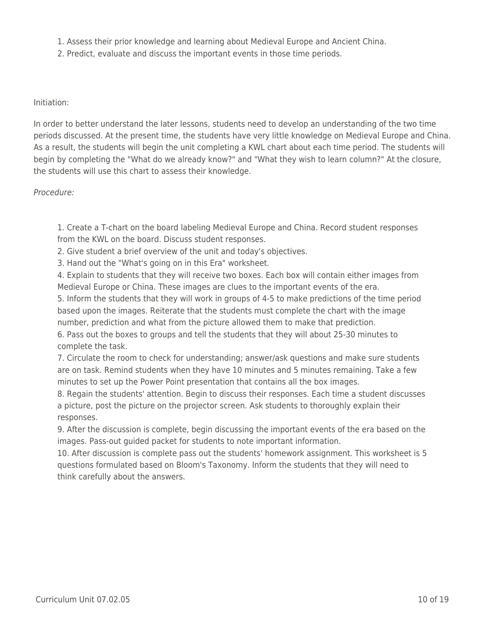- 1. Assess their prior knowledge and learning about Medieval Europe and Ancient China.
- 2. Predict, evaluate and discuss the important events in those time periods.

#### Initiation:

In order to better understand the later lessons, students need to develop an understanding of the two time periods discussed. At the present time, the students have very little knowledge on Medieval Europe and China. As a result, the students will begin the unit completing a KWL chart about each time period. The students will begin by completing the "What do we already know?" and "What they wish to learn column?" At the closure, the students will use this chart to assess their knowledge.

#### Procedure:

1. Create a T-chart on the board labeling Medieval Europe and China. Record student responses from the KWL on the board. Discuss student responses.

2. Give student a brief overview of the unit and today's objectives.

3. Hand out the "What's going on in this Era" worksheet.

4. Explain to students that they will receive two boxes. Each box will contain either images from Medieval Europe or China. These images are clues to the important events of the era.

5. Inform the students that they will work in groups of 4-5 to make predictions of the time period based upon the images. Reiterate that the students must complete the chart with the image number, prediction and what from the picture allowed them to make that prediction.

6. Pass out the boxes to groups and tell the students that they will about 25-30 minutes to complete the task.

7. Circulate the room to check for understanding; answer/ask questions and make sure students are on task. Remind students when they have 10 minutes and 5 minutes remaining. Take a few minutes to set up the Power Point presentation that contains all the box images.

8. Regain the students' attention. Begin to discuss their responses. Each time a student discusses a picture, post the picture on the projector screen. Ask students to thoroughly explain their responses.

9. After the discussion is complete, begin discussing the important events of the era based on the images. Pass-out guided packet for students to note important information.

10. After discussion is complete pass out the students' homework assignment. This worksheet is 5 questions formulated based on Bloom's Taxonomy. Inform the students that they will need to think carefully about the answers.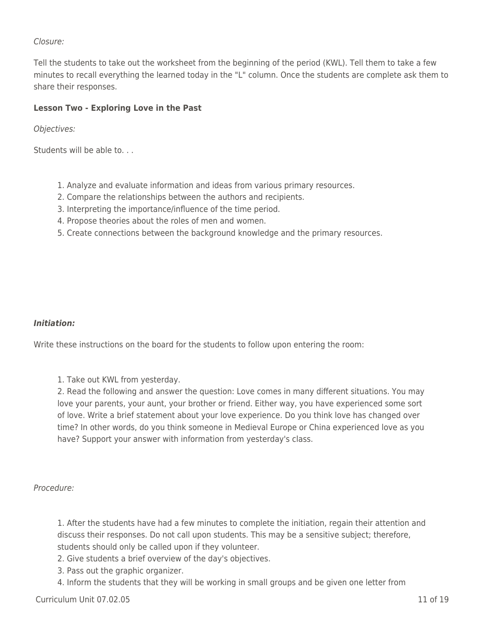## Closure:

Tell the students to take out the worksheet from the beginning of the period (KWL). Tell them to take a few minutes to recall everything the learned today in the "L" column. Once the students are complete ask them to share their responses.

### **Lesson Two - Exploring Love in the Past**

Objectives:

Students will be able to. . .

- 1. Analyze and evaluate information and ideas from various primary resources.
- 2. Compare the relationships between the authors and recipients.
- 3. Interpreting the importance/influence of the time period.
- 4. Propose theories about the roles of men and women.
- 5. Create connections between the background knowledge and the primary resources.

#### *Initiation:*

Write these instructions on the board for the students to follow upon entering the room:

1. Take out KWL from yesterday.

2. Read the following and answer the question: Love comes in many different situations. You may love your parents, your aunt, your brother or friend. Either way, you have experienced some sort of love. Write a brief statement about your love experience. Do you think love has changed over time? In other words, do you think someone in Medieval Europe or China experienced love as you have? Support your answer with information from yesterday's class.

#### Procedure:

1. After the students have had a few minutes to complete the initiation, regain their attention and discuss their responses. Do not call upon students. This may be a sensitive subject; therefore, students should only be called upon if they volunteer.

- 2. Give students a brief overview of the day's objectives.
- 3. Pass out the graphic organizer.
- 4. Inform the students that they will be working in small groups and be given one letter from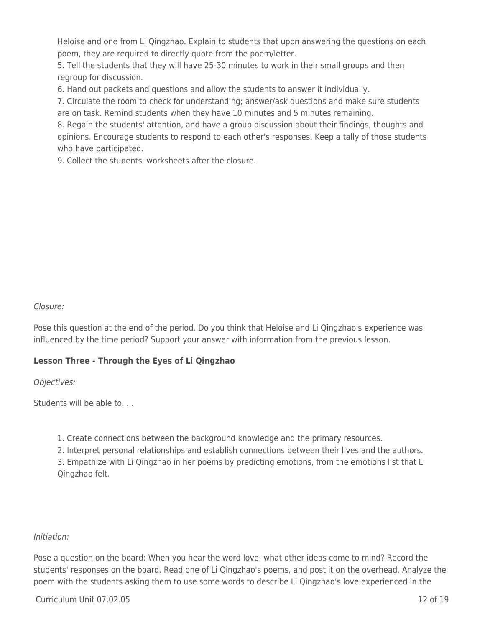Heloise and one from Li Qingzhao. Explain to students that upon answering the questions on each poem, they are required to directly quote from the poem/letter.

5. Tell the students that they will have 25-30 minutes to work in their small groups and then regroup for discussion.

6. Hand out packets and questions and allow the students to answer it individually.

7. Circulate the room to check for understanding; answer/ask questions and make sure students are on task. Remind students when they have 10 minutes and 5 minutes remaining.

8. Regain the students' attention, and have a group discussion about their findings, thoughts and opinions. Encourage students to respond to each other's responses. Keep a tally of those students who have participated.

9. Collect the students' worksheets after the closure.

#### Closure:

Pose this question at the end of the period. Do you think that Heloise and Li Qingzhao's experience was influenced by the time period? Support your answer with information from the previous lesson.

## **Lesson Three - Through the Eyes of Li Qingzhao**

Objectives:

Students will be able to. . .

- 1. Create connections between the background knowledge and the primary resources.
- 2. Interpret personal relationships and establish connections between their lives and the authors.

3. Empathize with Li Qingzhao in her poems by predicting emotions, from the emotions list that Li Qingzhao felt.

## Initiation:

Pose a question on the board: When you hear the word love, what other ideas come to mind? Record the students' responses on the board. Read one of Li Qingzhao's poems, and post it on the overhead. Analyze the poem with the students asking them to use some words to describe Li Qingzhao's love experienced in the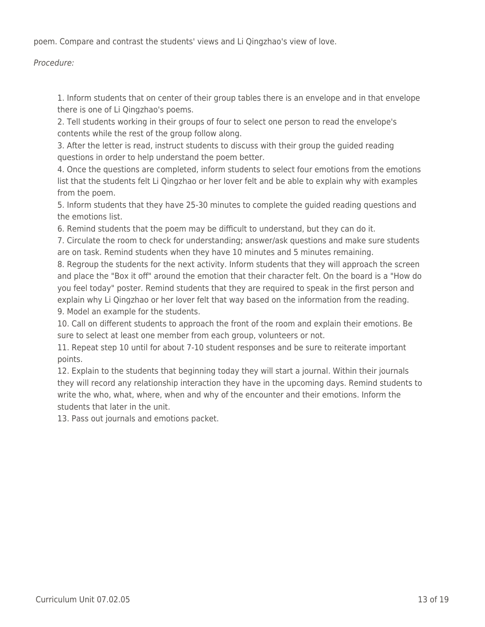poem. Compare and contrast the students' views and Li Qingzhao's view of love.

## Procedure:

1. Inform students that on center of their group tables there is an envelope and in that envelope there is one of Li Qingzhao's poems.

2. Tell students working in their groups of four to select one person to read the envelope's contents while the rest of the group follow along.

3. After the letter is read, instruct students to discuss with their group the guided reading questions in order to help understand the poem better.

4. Once the questions are completed, inform students to select four emotions from the emotions list that the students felt Li Qingzhao or her lover felt and be able to explain why with examples from the poem.

5. Inform students that they have 25-30 minutes to complete the guided reading questions and the emotions list.

6. Remind students that the poem may be difficult to understand, but they can do it.

7. Circulate the room to check for understanding; answer/ask questions and make sure students are on task. Remind students when they have 10 minutes and 5 minutes remaining.

8. Regroup the students for the next activity. Inform students that they will approach the screen and place the "Box it off" around the emotion that their character felt. On the board is a "How do you feel today" poster. Remind students that they are required to speak in the first person and explain why Li Qingzhao or her lover felt that way based on the information from the reading. 9. Model an example for the students.

10. Call on different students to approach the front of the room and explain their emotions. Be sure to select at least one member from each group, volunteers or not.

11. Repeat step 10 until for about 7-10 student responses and be sure to reiterate important points.

12. Explain to the students that beginning today they will start a journal. Within their journals they will record any relationship interaction they have in the upcoming days. Remind students to write the who, what, where, when and why of the encounter and their emotions. Inform the students that later in the unit.

13. Pass out journals and emotions packet.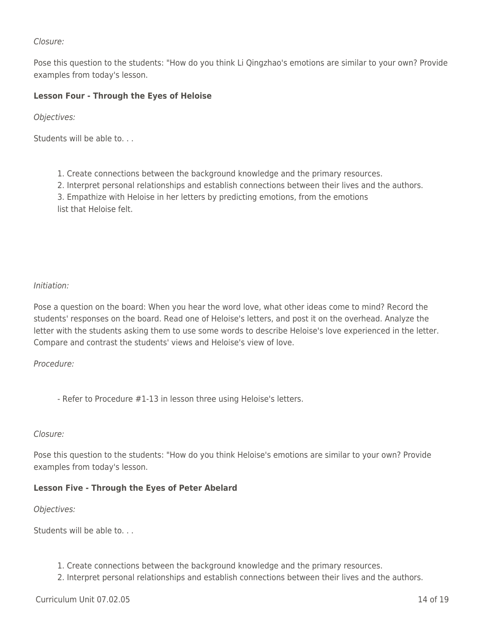### Closure:

Pose this question to the students: "How do you think Li Qingzhao's emotions are similar to your own? Provide examples from today's lesson.

## **Lesson Four - Through the Eyes of Heloise**

Objectives:

Students will be able to. . .

1. Create connections between the background knowledge and the primary resources.

2. Interpret personal relationships and establish connections between their lives and the authors.

3. Empathize with Heloise in her letters by predicting emotions, from the emotions

list that Heloise felt.

#### Initiation:

Pose a question on the board: When you hear the word love, what other ideas come to mind? Record the students' responses on the board. Read one of Heloise's letters, and post it on the overhead. Analyze the letter with the students asking them to use some words to describe Heloise's love experienced in the letter. Compare and contrast the students' views and Heloise's view of love.

#### Procedure:

- Refer to Procedure #1-13 in lesson three using Heloise's letters.

#### Closure:

Pose this question to the students: "How do you think Heloise's emotions are similar to your own? Provide examples from today's lesson.

#### **Lesson Five - Through the Eyes of Peter Abelard**

Objectives:

Students will be able to. . .

- 1. Create connections between the background knowledge and the primary resources.
- 2. Interpret personal relationships and establish connections between their lives and the authors.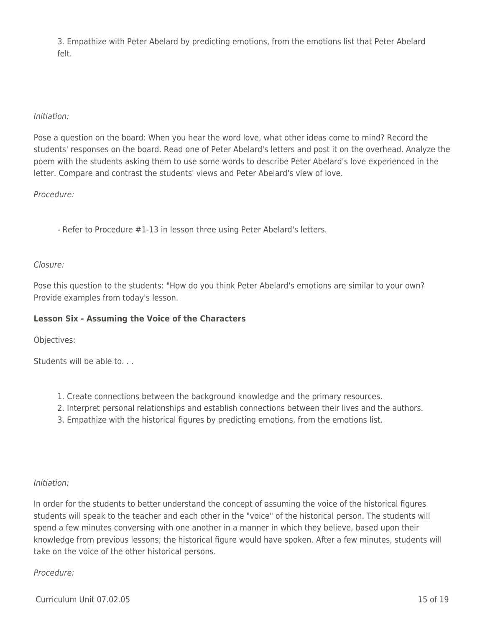3. Empathize with Peter Abelard by predicting emotions, from the emotions list that Peter Abelard felt.

### Initiation:

Pose a question on the board: When you hear the word love, what other ideas come to mind? Record the students' responses on the board. Read one of Peter Abelard's letters and post it on the overhead. Analyze the poem with the students asking them to use some words to describe Peter Abelard's love experienced in the letter. Compare and contrast the students' views and Peter Abelard's view of love.

Procedure:

- Refer to Procedure #1-13 in lesson three using Peter Abelard's letters.

#### Closure:

Pose this question to the students: "How do you think Peter Abelard's emotions are similar to your own? Provide examples from today's lesson.

## **Lesson Six - Assuming the Voice of the Characters**

Objectives:

Students will be able to. . .

- 1. Create connections between the background knowledge and the primary resources.
- 2. Interpret personal relationships and establish connections between their lives and the authors.
- 3. Empathize with the historical figures by predicting emotions, from the emotions list.

## Initiation:

In order for the students to better understand the concept of assuming the voice of the historical figures students will speak to the teacher and each other in the "voice" of the historical person. The students will spend a few minutes conversing with one another in a manner in which they believe, based upon their knowledge from previous lessons; the historical figure would have spoken. After a few minutes, students will take on the voice of the other historical persons.

#### Procedure: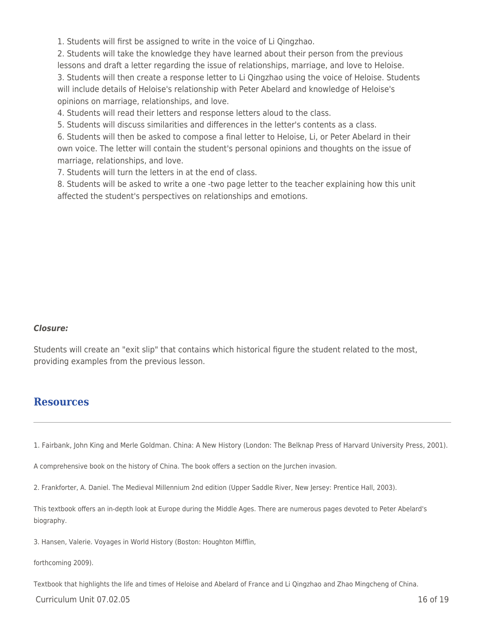1. Students will first be assigned to write in the voice of Li Qingzhao.

2. Students will take the knowledge they have learned about their person from the previous lessons and draft a letter regarding the issue of relationships, marriage, and love to Heloise. 3. Students will then create a response letter to Li Qingzhao using the voice of Heloise. Students will include details of Heloise's relationship with Peter Abelard and knowledge of Heloise's opinions on marriage, relationships, and love.

4. Students will read their letters and response letters aloud to the class.

5. Students will discuss similarities and differences in the letter's contents as a class.

6. Students will then be asked to compose a final letter to Heloise, Li, or Peter Abelard in their own voice. The letter will contain the student's personal opinions and thoughts on the issue of marriage, relationships, and love.

7. Students will turn the letters in at the end of class.

8. Students will be asked to write a one -two page letter to the teacher explaining how this unit affected the student's perspectives on relationships and emotions.

#### *Closure:*

Students will create an "exit slip" that contains which historical figure the student related to the most, providing examples from the previous lesson.

## **Resources**

1. Fairbank, John King and Merle Goldman. China: A New History (London: The Belknap Press of Harvard University Press, 2001).

A comprehensive book on the history of China. The book offers a section on the Jurchen invasion.

2. Frankforter, A. Daniel. The Medieval Millennium 2nd edition (Upper Saddle River, New Jersey: Prentice Hall, 2003).

This textbook offers an in-depth look at Europe during the Middle Ages. There are numerous pages devoted to Peter Abelard's biography.

3. Hansen, Valerie. Voyages in World History (Boston: Houghton Mifflin,

forthcoming 2009).

Textbook that highlights the life and times of Heloise and Abelard of France and Li Qingzhao and Zhao Mingcheng of China.

Curriculum Unit 07.02.05 16 of 19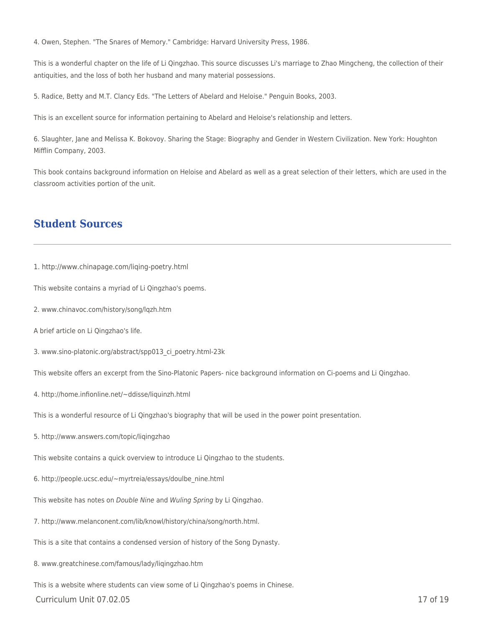4. Owen, Stephen. "The Snares of Memory." Cambridge: Harvard University Press, 1986.

This is a wonderful chapter on the life of Li Qingzhao. This source discusses Li's marriage to Zhao Mingcheng, the collection of their antiquities, and the loss of both her husband and many material possessions.

5. Radice, Betty and M.T. Clancy Eds. "The Letters of Abelard and Heloise." Penguin Books, 2003.

This is an excellent source for information pertaining to Abelard and Heloise's relationship and letters.

6. Slaughter, Jane and Melissa K. Bokovoy. Sharing the Stage: Biography and Gender in Western Civilization. New York: Houghton Mifflin Company, 2003.

This book contains background information on Heloise and Abelard as well as a great selection of their letters, which are used in the classroom activities portion of the unit.

## **Student Sources**

1. http://www.chinapage.com/liqing-poetry.html

This website contains a myriad of Li Qingzhao's poems.

- 2. www.chinavoc.com/history/song/lqzh.htm
- A brief article on Li Qingzhao's life.
- 3. www.sino-platonic.org/abstract/spp013\_ci\_poetry.html-23k

This website offers an excerpt from the Sino-Platonic Papers- nice background information on Ci-poems and Li Qingzhao.

4. http://home.infionline.net/~ddisse/liquinzh.html

This is a wonderful resource of Li Qingzhao's biography that will be used in the power point presentation.

5. http://www.answers.com/topic/liqingzhao

This website contains a quick overview to introduce Li Qingzhao to the students.

6. http://people.ucsc.edu/~myrtreia/essays/doulbe\_nine.html

This website has notes on Double Nine and Wuling Spring by Li Qingzhao.

7. http://www.melanconent.com/lib/knowl/history/china/song/north.html.

This is a site that contains a condensed version of history of the Song Dynasty.

8. www.greatchinese.com/famous/lady/liqingzhao.htm

This is a website where students can view some of Li Qingzhao's poems in Chinese.

Curriculum Unit 07.02.05 17 of 19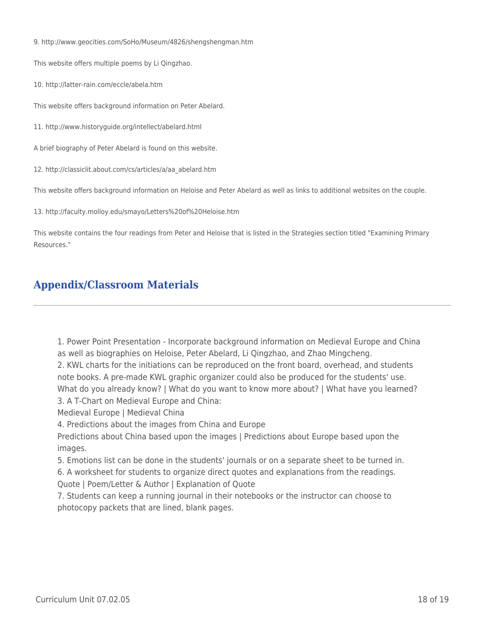9. http://www.geocities.com/SoHo/Museum/4826/shengshengman.htm

This website offers multiple poems by Li Qingzhao.

10. http://latter-rain.com/eccle/abela.htm

This website offers background information on Peter Abelard.

11. http://www.historyguide.org/intellect/abelard.html

A brief biography of Peter Abelard is found on this website.

12. http://classiclit.about.com/cs/articles/a/aa\_abelard.htm

This website offers background information on Heloise and Peter Abelard as well as links to additional websites on the couple.

13. http://faculty.molloy.edu/smayo/Letters%20of%20Heloise.htm

This website contains the four readings from Peter and Heloise that is listed in the Strategies section titled "Examining Primary Resources."

# **Appendix/Classroom Materials**

1. Power Point Presentation - Incorporate background information on Medieval Europe and China as well as biographies on Heloise, Peter Abelard, Li Qingzhao, and Zhao Mingcheng.

2. KWL charts for the initiations can be reproduced on the front board, overhead, and students note books. A pre-made KWL graphic organizer could also be produced for the students' use. What do you already know? | What do you want to know more about? | What have you learned?

3. A T-Chart on Medieval Europe and China:

Medieval Europe | Medieval China

4. Predictions about the images from China and Europe

Predictions about China based upon the images | Predictions about Europe based upon the images.

5. Emotions list can be done in the students' journals or on a separate sheet to be turned in.

6. A worksheet for students to organize direct quotes and explanations from the readings. Quote | Poem/Letter & Author | Explanation of Quote

7. Students can keep a running journal in their notebooks or the instructor can choose to photocopy packets that are lined, blank pages.